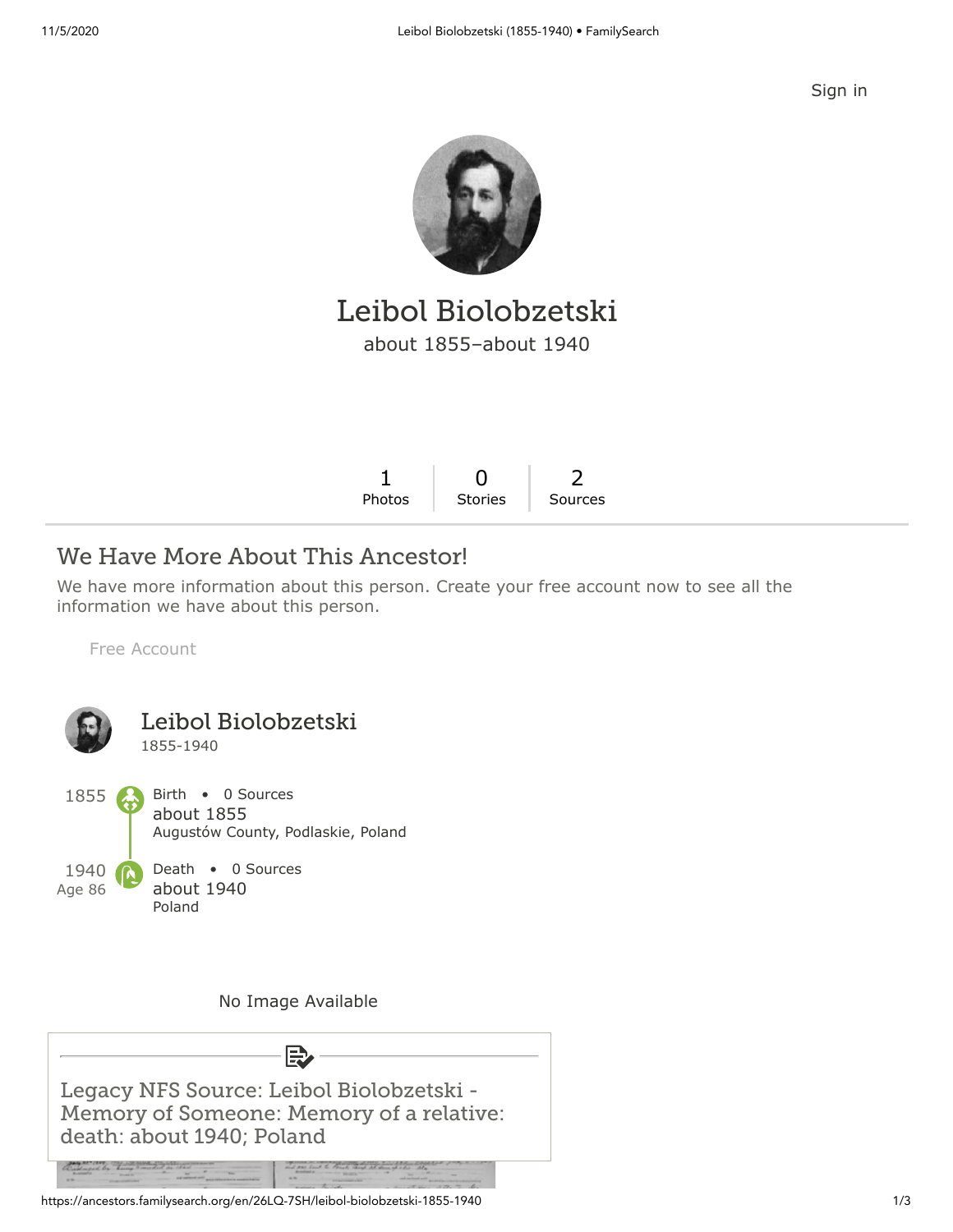[Sign in](https://www.familysearch.org/tree/person/details/26LQ-7SH?icid=amp_hdr_signin)



Leibol Biolobzetski about 1855–about 1940

## We Have More About This Ancestor!

We have more information about this person. Create your free account now to see all the information we have about this person.

[Free Account](https://www.familysearch.org/register/?state=https://ancestors.familysearch.org/en/26LQ-7SH/leibol-biolobzetski-1855-1940&icid=amp_bdy_account1)



Memory of Someone: Memory of a relative: death: about 1940; Poland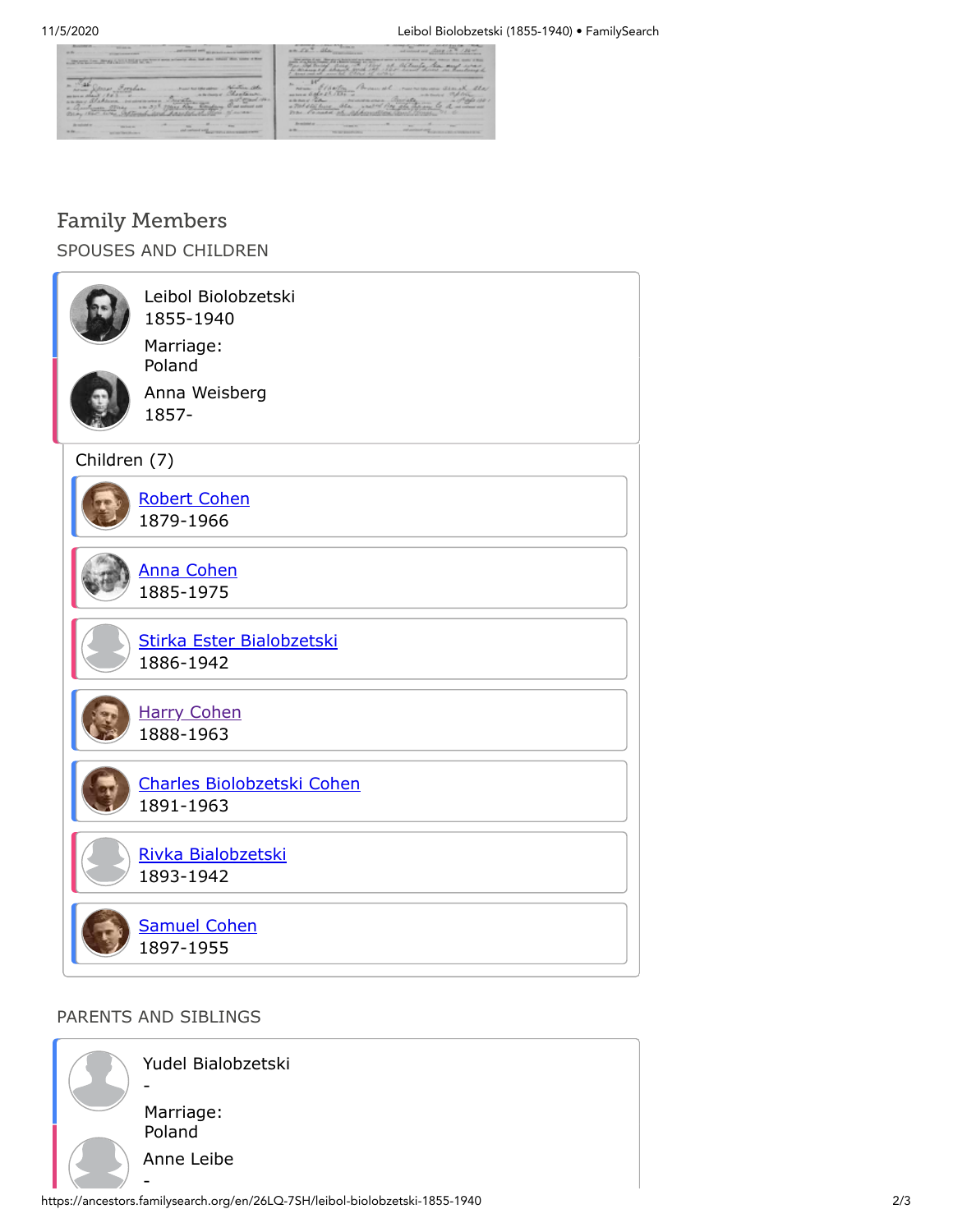

|                                              | ۰<br>w                                                  |                                                                 | ×<br>$\overline{a}$ |
|----------------------------------------------|---------------------------------------------------------|-----------------------------------------------------------------|---------------------|
| <b>Silver and</b><br><b>Announcement and</b> | and any discussion<br><b>Channel</b><br>w.<br>came that | athanti<br><b>CARDON</b><br><b>Links</b><br>٠<br>٠<br>at arthur |                     |
| ×.<br>$-200$<br><b>ADEX</b>                  | 2<br>л<br>sл<br>$-1$                                    | <b>Science</b><br><b>HARLEY</b>                                 | alex<br>a           |
|                                              |                                                         |                                                                 | <b>STATISTICS</b>   |

## Family Members

SPOUSES AND CHILDREN

|              | Leibol Biolobzetski<br>1855-1940<br>Marriage:<br>Poland<br>Anna Weisberg<br>1857- |  |  |  |
|--------------|-----------------------------------------------------------------------------------|--|--|--|
| Children (7) |                                                                                   |  |  |  |
|              | <b>Robert Cohen</b><br>1879-1966                                                  |  |  |  |
|              | <b>Anna Cohen</b><br>1885-1975                                                    |  |  |  |
|              | Stirka Ester Bialobzetski<br>1886-1942                                            |  |  |  |
|              | <b>Harry Cohen</b><br>1888-1963                                                   |  |  |  |
|              | Charles Biolobzetski Cohen<br>1891-1963                                           |  |  |  |
|              | Rivka Bialobzetski<br>1893-1942                                                   |  |  |  |
|              | <b>Samuel Cohen</b><br>1897-1955                                                  |  |  |  |

## PARENTS AND SIBLINGS